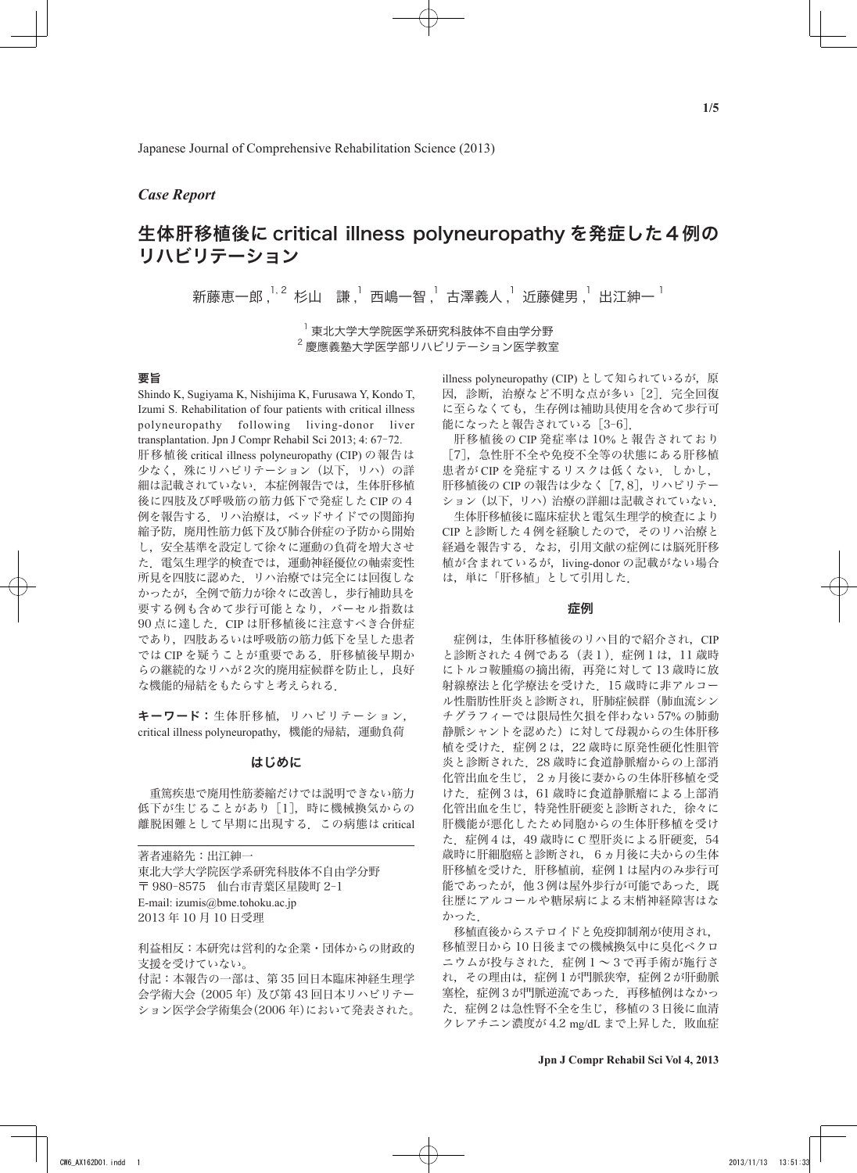# *Case Report*

# 生体肝移植後に critical illness polyneuropathy を発症した4例の リハビリテーション

新藤恵一郎,<sup>1, 2</sup> 杉山 謙 , 1 西嶋一智 , 1 古澤義人 , 1 近藤健男 , 1 出江紳一 <sup>1</sup>

<sup>1</sup> 東北大学大学院医学系研究科肢体不自由学分野  $^2$ 慶應義塾大学医学部リハビリテーション医学教室

# 要旨

Shindo K, Sugiyama K, Nishijima K, Furusawa Y, Kondo T, Izumi S. Rehabilitation of four patients with critical illness polyneuropathy following living-donor liver transplantation. Jpn J Compr Rehabil Sci 2013; 4: 67-72. 肝移植後 critical illness polyneuropathy (CIP) の報告は 少なく、殊にリハビリテーション(以下,リハ)の詳 細は記載されていない.本症例報告では,生体肝移植 後に四肢及び呼吸筋の筋力低下で発症した CIP の4 例を報告する.リハ治療は,ベッドサイドでの関節拘 縮予防、廃用性筋力低下及び肺合併症の予防から開始 し,安全基準を設定して徐々に運動の負荷を増大させ た.電気生理学的検査では,運動神経優位の軸索変性 所見を四肢に認めた.リハ治療では完全には回復しな かったが,全例で筋力が徐々に改善し,歩行補助具を 要する例も含めて歩行可能となり,バーセル指数は 90 点に達した. CIP は肝移植後に注意すべき合併症 であり,四肢あるいは呼吸筋の筋力低下を呈した患者 では CIP を疑うことが重要である.肝移植後早期か らの継続的なリハが2次的廃用症候群を防止し、良好 な機能的帰結をもたらすと考えられる.

キーワード:生体肝移植,リハビリテーション, critical illness polyneuropathy,機能的帰結,運動負荷

## はじめに

 重篤疾患で廃用性筋萎縮だけでは説明できない筋力 低下が生じることがあり [1],時に機械換気からの 離脱困難として早期に出現する.この病態は critical

| 著者連絡先:出江紳一                      |
|---------------------------------|
| 東北大学大学院医学系研究科肢体不自由学分野           |
| 〒 980-8575 仙台市青葉区星陵町 2-1        |
| E-mail: izumis@bme.tohoku.ac.jp |
| 2013 年 10 月 10 日受理              |

利益相反:本研究は営利的な企業・団体からの財政的 支援を受けていない。 付記:本報告の一部は、第 35 回日本臨床神経生理学 会学術大会(2005 年)及び第 43 回日本リハビリテー

ション医学会学術集会(2006 年)において発表された。

illness polyneuropathy (CIP) として知られているが. 原 因、診断、治療など不明な点が多い「2]. 完全回復 に至らなくても,生存例は補助具使用を含めて歩行可 能になったと報告されている「3-6].

 肝移植後の CIP 発症率は 10% と報告されており [7],急性肝不全や免疫不全等の状態にある肝移植 患者が CIP を発症するリスクは低くない. しかし, 肝移植後の CIP の報告は少なく [7,8], リハビリテー ション(以下,リハ)治療の詳細は記載されていない. 生体肝移植後に臨床症状と電気生理学的検査により CIP と診断した4例を経験したので,そのリハ治療と 経過を報告する.なお,引用文献の症例には脳死肝移 植が含まれているが,living-donor の記載がない場合 は,単に「肝移植」として引用した.

## 症例

 症例は,生体肝移植後のリハ目的で紹介され,CIP と診断された 4 例である(表1).症例1は,11 歳時 にトルコ鞍腫瘍の摘出術,再発に対して 13 歳時に放 射線療法と化学療法を受けた.15 歳時に非アルコー ル性脂肪性肝炎と診断され,肝肺症候群(肺血流シン チグラフィーでは限局性欠損を伴わない 57% の肺動 静脈シャントを認めた)に対して母親からの生体肝移 植を受けた.症例2は,22 歳時に原発性硬化性胆管 炎と診断された.28 歳時に食道静脈瘤からの上部消 化管出血を生じ,2ヵ月後に妻からの生体肝移植を受 けた.症例3は,61 歳時に食道静脈瘤による上部消 化管出血を生じ,特発性肝硬変と診断された.徐々に 肝機能が悪化したため同胞からの生体肝移植を受け た.症例4は,49 歳時に C 型肝炎による肝硬変,54 歳時に肝細胞癌と診断され,6ヵ月後に夫からの生体 肝移植を受けた.肝移植前,症例1は屋内のみ歩行可 能であったが、他3例は屋外歩行が可能であった. 既 往歴にアルコールや糖尿病による末梢神経障害はな かった.

 移植直後からステロイドと免疫抑制剤が使用され, 移植翌日から 10 日後までの機械換気中に臭化ベクロ ニウムが投与された. 症例1~3で再手術が施行さ れ,その理由は,症例1が門脈狭窄,症例2が肝動脈 塞栓,症例3が門脈逆流であった.再移植例はなかっ た.症例2は急性腎不全を生じ,移植の3日後に血清 クレアチニン濃度が 4.2 mg/dL まで上昇した. 敗血症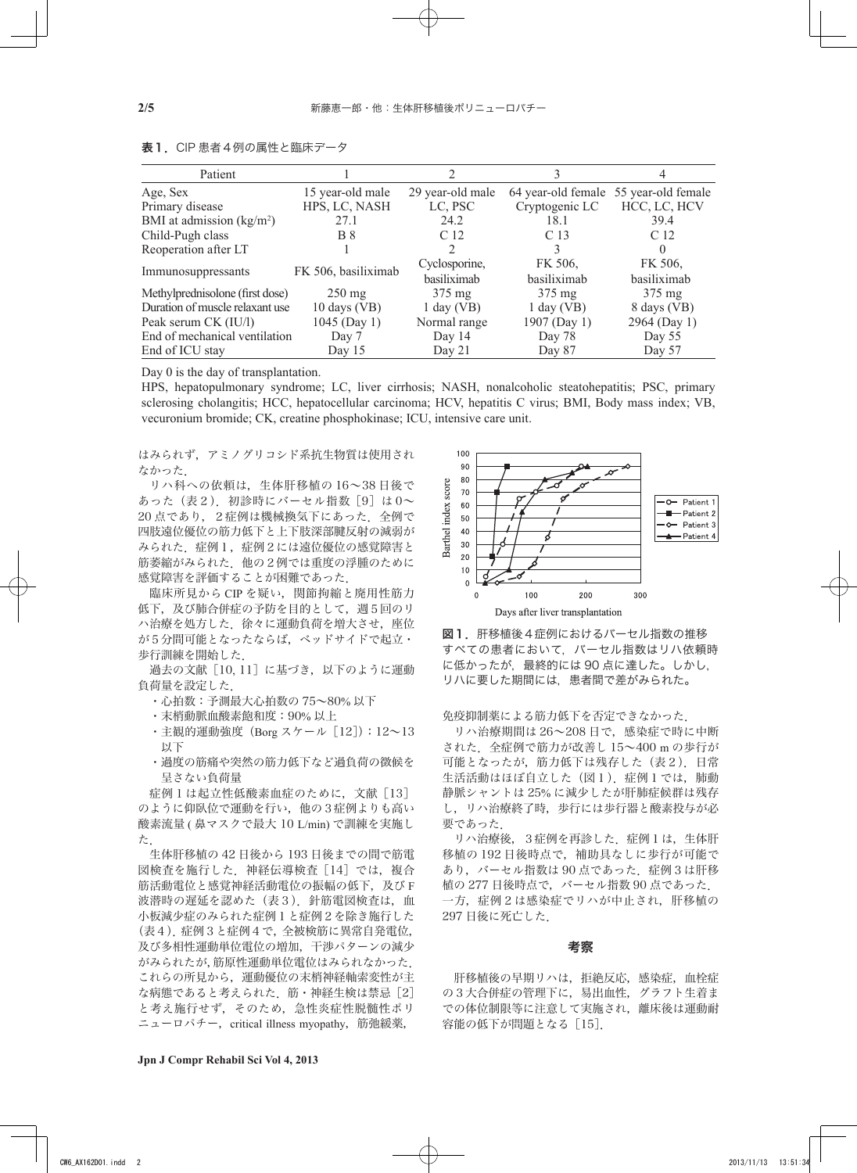| Patient                         |                        |                  |                 |                                       |  |
|---------------------------------|------------------------|------------------|-----------------|---------------------------------------|--|
| Age, Sex                        | 15 year-old male       | 29 year-old male |                 | 64 year-old female 55 year-old female |  |
| Primary disease                 | HPS, LC, NASH          | LC, PSC          | Cryptogenic LC  | HCC, LC, HCV                          |  |
| BMI at admission $(kg/m2)$      | 27.1                   | 24.2             | 18.1            | 39.4                                  |  |
| Child-Pugh class                | <b>B</b> 8             | C <sub>12</sub>  | C <sub>13</sub> | C <sub>12</sub>                       |  |
| Reoperation after LT            |                        | $\mathfrak{D}$   | 3               | 0                                     |  |
| Immunosuppressants              | FK 506, basiliximab    | Cyclosporine,    | FK 506,         | FK 506,                               |  |
|                                 |                        | basiliximab      | basiliximab     | basiliximab                           |  |
| Methylprednisolone (first dose) | $250 \text{ mg}$       | $375 \text{ mg}$ | 375 mg          | $375 \text{ mg}$                      |  |
| Duration of muscle relaxant use | $10 \text{ days}$ (VB) | $1$ day (VB)     | $1$ day (VB)    | 8 days (VB)                           |  |
| Peak serum CK (IU/l)            | 1045 (Day 1)           | Normal range     | 1907 (Day 1)    | 2964 (Day 1)                          |  |
| End of mechanical ventilation   | Day 7                  | Day 14           | Day 78          | Day 55                                |  |
| End of ICU stay                 | Day 15                 | Day $21$         | Day 87          | Day 57                                |  |

表1.CIP 患者4例の属性と臨床データ

Day 0 is the day of transplantation.

HPS, hepatopulmonary syndrome; LC, liver cirrhosis; NASH, nonalcoholic steatohepatitis; PSC, primary sclerosing cholangitis; HCC, hepatocellular carcinoma; HCV, hepatitis C virus; BMI, Body mass index; VB, vecuronium bromide; CK, creatine phosphokinase; ICU, intensive care unit.

はみられず,アミノグリコシド系抗生物質は使用され なかった.

 リハ科への依頼は,生体肝移植の 16~38 日後で あった(表2). 初診時にバーセル指数[9]は0~ 20 点であり、2症例は機械換気下にあった. 全例で 四肢遠位優位の筋力低下と上下肢深部腱反射の減弱が みられた 症例1,症例2には遠位優位の感覚障害と 筋萎縮がみられた. 他の2例では重度の浮腫のために 感覚障害を評価することが困難であった.

 臨床所見から CIP を疑い,関節拘縮と廃用性筋力 低下,及び肺合併症の予防を目的として、週5回のリ ハ治療を処方した. 徐々に運動負荷を増大させ、座位 が5分間可能となったならば,ベッドサイドで起立・ 歩行訓練を開始した.

 過去の文献[10, 11]に基づき,以下のように運動 負荷量を設定した.

- ・心拍数:予測最大心拍数の 75~80% 以下
- ・末梢動脈血酸素飽和度:90% 以上
- ・主観的運動強度 (Borg スケール [12]): 12~13 以下
- ・過度の筋痛や突然の筋力低下など過負荷の徴候を 呈さない負荷量

症例1は起立性低酸素血症のために、文献「13] のように仰臥位で運動を行い、他の3症例よりも高い 酸素流量 ( 鼻マスクで最大 10 L/min) で訓練を実施し た.

 生体肝移植の 42 日後から 193 日後までの間で筋電 図検査を施行した. 神経伝導検査「14]では、複合 筋活動電位と感覚神経活動電位の振幅の低下, 及び F 波潜時の遅延を認めた(表3). 針筋電図検査は、血 小板減少症のみられた症例1と症例2を除き施行した (表4).症例3と症例4で,全被検筋に異常自発電位, 及び多相性運動単位電位の増加,干渉パターンの減少 がみられたが,筋原性運動単位電位はみられなかった. これらの所見から,運動優位の末梢神経軸索変性が主 な病態であると考えられた. 筋・神経生検は禁忌[2] と考え施行せず,そのため,急性炎症性脱髄性ポリ ニューロパチー, critical illness myopathy, 筋弛緩薬,





免疫抑制薬による筋力低下を否定できなかった.

 リハ治療期間は 26~208 日で,感染症で時に中断 された.全症例で筋力が改善し 15~400 m の歩行が 可能となったが、筋力低下は残存した(表2). 日常 生活活動はほぼ自立した(図1). 症例1では、肺動 静脈シャントは 25% に減少したが肝肺症候群は残存 し,リハ治療終了時,歩行には歩行器と酸素投与が必 要であった.

 リハ治療後,3症例を再診した.症例1は,生体肝 移植の 192 日後時点で,補助具なしに歩行が可能で あり、バーセル指数は 90 点であった. 症例3は肝移 植の 277 日後時点で,バーセル指数 90 点であった. 一方,症例2は感染症でリハが中止され,肝移植の 297 日後に死亡した.

#### 考察

肝移植後の早期リハは、拒絶反応、感染症、血栓症 の3大合併症の管理下に、易出血性,グラフト生着ま での体位制限等に注意して実施され,離床後は運動耐 容能の低下が問題となる [15].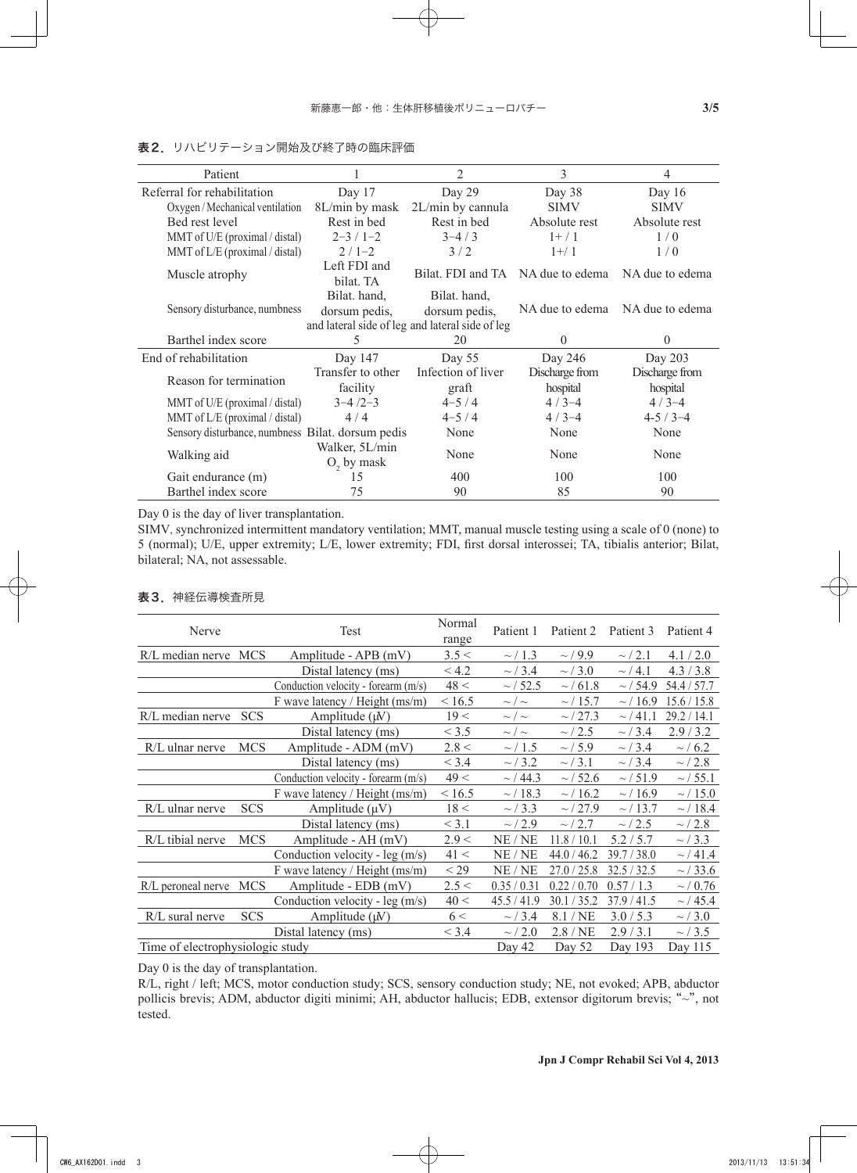| Patient                                           |                                                 | 2                                | 3               | 4               |  |
|---------------------------------------------------|-------------------------------------------------|----------------------------------|-----------------|-----------------|--|
| Referral for rehabilitation                       | Day 17                                          | Day 29                           | Day 38          | Day $16$        |  |
| Oxygen / Mechanical ventilation                   | 8L/min by mask                                  | 2L/min by cannula                | <b>SIMV</b>     | <b>SIMV</b>     |  |
| Bed rest level                                    | Rest in bed                                     | Rest in bed                      | Absolute rest   | Absolute rest   |  |
| MMT of U/E (proximal / distal)                    | $2 - 3/1 - 2$                                   | $3 - 4/3$                        | $1+/1$          | 1/0             |  |
| MMT of $L/E$ (proximal / distal)                  | $2/1-2$                                         | 3/2                              | $1 + / 1$       | 1/0             |  |
| Muscle atrophy                                    | Left FDI and<br>bilat. TA                       | Bilat. FDI and TA                | NA due to edema | NA due to edema |  |
|                                                   | Bilat. hand,                                    | Bilat. hand,                     |                 |                 |  |
| Sensory disturbance, numbness                     | dorsum pedis,                                   | NA due to edema<br>dorsum pedis, |                 | NA due to edema |  |
|                                                   | and lateral side of leg and lateral side of leg |                                  |                 |                 |  |
|                                                   |                                                 |                                  |                 |                 |  |
| Barthel index score                               | 5                                               | 20                               | 0               | $\theta$        |  |
| End of rehabilitation                             | Day 147                                         | Day 55                           | Day 246         | Day 203         |  |
|                                                   | Transfer to other                               | Infection of liver               | Discharge from  | Discharge from  |  |
| Reason for termination                            | facility                                        | graft                            | hospital        | hospital        |  |
| MMT of U/E (proximal / distal)                    | $3 - 4/2 - 3$                                   | $4 - 5/4$                        | $4/3-4$         | $4/3-4$         |  |
| MMT of $L/E$ (proximal / distal)                  | 4/4                                             | $4 - 5/4$                        | $4/3-4$         | $4-5/3-4$       |  |
| Sensory disturbance, numbness Bilat. dorsum pedis |                                                 | None                             | None            | None            |  |
| Walking aid                                       | Walker, 5L/min<br>$O2$ by mask                  | None                             | None            | None            |  |
| Gait endurance (m)                                | 15                                              | 400                              | 100             | 100             |  |

# 表2. リハビリテーション開始及び終了時の臨床評価

Day 0 is the day of liver transplantation.

SIMV, synchronized intermittent mandatory ventilation; MMT, manual muscle testing using a scale of 0 (none) to 5 (normal); U/E, upper extremity; L/E, lower extremity; FDI, first dorsal interossei; TA, tibialis anterior; Bilat, bilateral; NA, not assessable.

## 表3.神経伝導検査所見

| Nerve                            |            | Test                                                          | Normal  | Patient 1<br>Patient 2<br>range |               | Patient 3     | Patient 4     |
|----------------------------------|------------|---------------------------------------------------------------|---------|---------------------------------|---------------|---------------|---------------|
| R/L median nerve                 | <b>MCS</b> | Amplitude - APB (mV)<br>3.5 <<br>$\sim$ / 1.3<br>$\sim$ / 9.9 |         |                                 | $\sim 2.1$    | 4.1/2.0       |               |
|                                  |            | Distal latency (ms)                                           | < 4.2   | $\sim$ / 3.4                    | $\sim$ / 3.0  | $\sim$ / 4.1  | 4.3/3.8       |
|                                  |            | Conduction velocity - forearm (m/s)                           | 48 <    | $\sim$ / 52.5                   | $\sim$ / 61.8 | $\sim$ / 54.9 | 54.4/57.7     |
|                                  |            | F wave latency / Height (ms/m)                                | < 16.5  | $\sim / \sim$                   | $\sim$ / 15.7 | $\sim$ / 16.9 | 15.6 / 15.8   |
| $R/L$ median nerve               | <b>SCS</b> | Amplitude $(\mu V)$                                           | 19<     | $\sim / \sim$                   | $\sim$ / 27.3 | $\sim$ / 41.1 | 29.2 / 14.1   |
|                                  |            | Distal latency (ms)                                           | < 3.5   | $\sim / \sim$                   | $\sim$ / 2.5  | $\sim$ / 3.4  | 2.9/3.2       |
| $R/L$ ulnar nerve                | <b>MCS</b> | Amplitude - ADM (mV)                                          | 2.8 <   | $\sim$ / 1.5                    | $\sim$ / 5.9  | $\sim$ / 3.4  | $\sim$ / 6.2  |
|                                  |            | Distal latency (ms)                                           | $<$ 3.4 | $\sim$ / 3.2                    | $\sim$ / 3.1  | $\sim$ / 3.4  | $\sim$ / 2.8  |
|                                  |            | Conduction velocity - forearm (m/s)                           | 49 <    | $\sim$ / 44.3                   | $\sim$ / 52.6 | $\sim$ / 51.9 | $\sim$ / 55.1 |
|                                  |            | F wave latency / Height $(ms/m)$                              | < 16.5  | $\sim$ / 18.3                   | $\sim$ / 16.2 | $\sim$ / 16.9 | $\sim$ / 15.0 |
| $R/L$ ulnar nerve                | <b>SCS</b> | Amplitude $(\mu V)$                                           | 18 <    | $\sim$ / 3.3                    | $\sim$ / 27.9 | $\sim$ / 13.7 | $\sim$ / 18.4 |
|                                  |            | Distal latency (ms)                                           | < 3.1   | $\sim 2.9$                      | $\sim$ / 2.7  | $\sim$ / 2.5  | $\sim 2.8$    |
| R/L tibial nerve                 | <b>MCS</b> | Amplitude - AH (mV)                                           | 2.9 <   | NE / NE                         | 11.8 / 10.1   | 5.2 / 5.7     | $\sim$ / 3.3  |
|                                  |            | Conduction velocity - $leg(m/s)$                              | 41 <    | NE / NE                         | 44.0 / 46.2   | 39.7 / 38.0   | $\sim$ / 41.4 |
|                                  |            | F wave latency / Height (ms/m)                                | $<$ 29  | NE / NE                         | 27.0 / 25.8   | 32.5 / 32.5   | $\sim$ /33.6  |
| R/L peroneal nerve               | <b>MCS</b> | Amplitude - $EDB(mV)$                                         | 2.5 <   | 0.35 / 0.31                     | 0.22 / 0.70   | 0.57/1.3      | $\sim$ / 0.76 |
|                                  |            | Conduction velocity - leg (m/s)                               | 40 <    | 45.5/41.9                       | 30.1 / 35.2   | 37.9/41.5     | $\sim$ / 45.4 |
| R/L sural nerve                  | <b>SCS</b> | Amplitude $(\mu V)$                                           | 6 <     | $\sim$ / 3.4                    | 8.1/NE        | 3.0 / 5.3     | $\sim$ / 3.0  |
|                                  |            | Distal latency (ms)                                           | < 3.4   | $\sim 2.0$                      | 2.8/NE        | 2.9/3.1       | $\sim$ / 3.5  |
| Time of electrophysiologic study |            | Day 42                                                        | Day 52  | Day 193                         | Day 115       |               |               |

Day 0 is the day of transplantation.

R/L, right / left; MCS, motor conduction study; SCS, sensory conduction study; NE, not evoked; APB, abductor pollicis brevis; ADM, abductor digiti minimi; AH, abductor hallucis; EDB, extensor digitorum brevis; "~", not tested.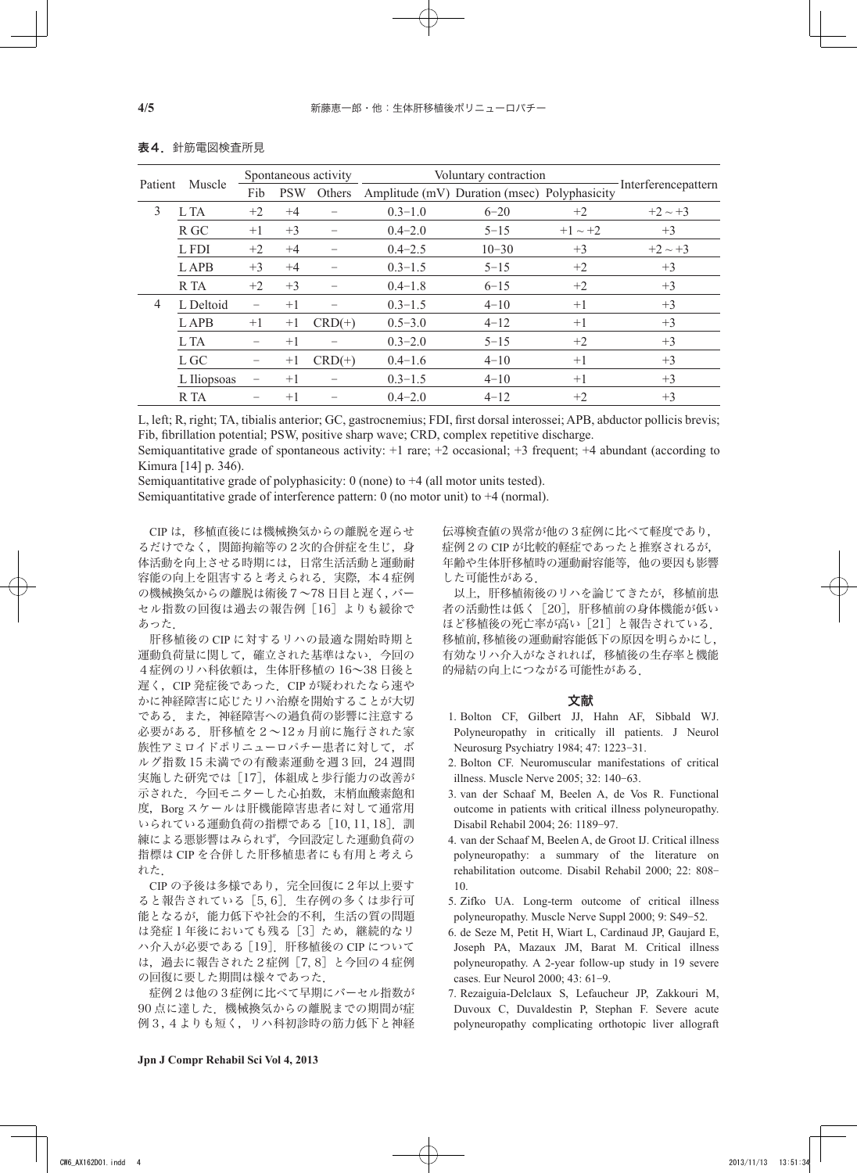| Patient | Muscle      | Spontaneous activity |            |          | Voluntary contraction |                                              |              |                     |  |
|---------|-------------|----------------------|------------|----------|-----------------------|----------------------------------------------|--------------|---------------------|--|
|         |             | Fib                  | <b>PSW</b> | Others   |                       | Amplitude (mV) Duration (msec) Polyphasicity |              | Interferencepattern |  |
| 3       | L TA        | $+2$                 | $+4$       |          | $0.3 - 1.0$           | $6 - 20$                                     | $+2$         | $+2 \sim +3$        |  |
|         | R GC        | $+1$                 | $+3$       |          | $0.4 - 2.0$           | $5 - 15$                                     | $+1 \sim +2$ | $+3$                |  |
|         | L FDI       | $+2$                 | $+4$       |          | $0.4 - 2.5$           | $10 - 30$                                    | $+3$         | $+2 \sim +3$        |  |
|         | <b>LAPB</b> | $+3$                 | $+4$       |          | $0.3 - 1.5$           | $5 - 15$                                     | $+2$         | $+3$                |  |
|         | R TA        | $+2$                 | $+3$       |          | $0.4 - 1.8$           | $6 - 15$                                     | $+2$         | $+3$                |  |
| 4       | L Deltoid   |                      | $+1$       |          | $0.3 - 1.5$           | $4 - 10$                                     | $+1$         | $+3$                |  |
|         | <b>LAPB</b> | $+1$                 | $+1$       | $CRD(+)$ | $0.5 - 3.0$           | $4 - 12$                                     | $+1$         | $+3$                |  |
|         | L TA        |                      | $+1$       |          | $0.3 - 2.0$           | $5 - 15$                                     | $+2$         | $+3$                |  |
|         | L GC        |                      | $+1$       | $CRD(+)$ | $0.4 - 1.6$           | $4 - 10$                                     | $+1$         | $+3$                |  |
|         | L Iliopsoas |                      | $+1$       |          | $0.3 - 1.5$           | $4 - 10$                                     | $+1$         | $+3$                |  |
|         | R TA        |                      | $+1$       |          | $0.4 - 2.0$           | $4 - 12$                                     | $+2$         | $+3$                |  |

### 表4.針筋電図検査所見

L, left; R, right; TA, tibialis anterior; GC, gastrocnemius; FDI, first dorsal interossei; APB, abductor pollicis brevis; Fib, fibrillation potential; PSW, positive sharp wave; CRD, complex repetitive discharge.

Semiquantitative grade of spontaneous activity: +1 rare; +2 occasional; +3 frequent; +4 abundant (according to Kimura [14] p. 346).

Semiquantitative grade of polyphasicity: 0 (none) to +4 (all motor units tested). Semiquantitative grade of interference pattern: 0 (no motor unit) to +4 (normal).

CIP は,移植直後には機械換気からの離脱を遅らせ るだけでなく,関節拘縮等の2次的合併症を生じ,身 体活動を向上させる時期には,日常生活活動と運動耐 容能の向上を阻害すると考えられる. 実際,本4症例 の機械換気からの離脱は術後7~78 日目と遅く,バー セル指数の回復は過去の報告例 [16] よりも緩徐で あった.

 肝移植後の CIP に対するリハの最適な開始時期と 運動負荷量に関して,確立された基準はない.今回の 4症例のリハ科依頼は,生体肝移植の 16~38 日後と 遅く、CIP 発症後であった. CIP が疑われたなら速や かに神経障害に応じたリハ治療を開始することが大切 である.また,神経障害への過負荷の影響に注意する 必要がある.肝移植を2~12ヵ月前に施行された家 族性アミロイドポリニューロパチー患者に対して、ボ ルグ指数 15 未満での有酸素運動を週3回,24 週間 実施した研究では[17],体組成と歩行能力の改善が 示された.今回モニターした心拍数,末梢血酸素飽和 度, Borg スケールは肝機能障害患者に対して通常用 いられている運動負荷の指標である[10, 11, 18].訓 練による悪影響はみられず,今回設定した運動負荷の 指標は CIP を合併した肝移植患者にも有用と考えら れた.

CIP の予後は多様であり、完全回復に2年以上要す ると報告されている[5, 6].生存例の多くは歩行可 能となるが,能力低下や社会的不利,生活の質の問題 は発症1年後においても残る「3]ため、継続的なリ ハ介入が必要である[19].肝移植後の CIP について は,過去に報告された2症例[7, 8]と今回の4症例 の回復に要した期間は様々であった.

 症例2は他の3症例に比べて早期にバーセル指数が 90 点に達した.機械換気からの離脱までの期間が症 例3,4よりも短く,リハ科初診時の筋力低下と神経 伝導検査値の異常が他の3症例に比べて軽度であり, 症例2の CIP が比較的軽症であったと推察されるが, 年齢や生体肝移植時の運動耐容能等,他の要因も影響 した可能性がある.

 以上,肝移植術後のリハを論じてきたが,移植前患 者の活動性は低く[20],肝移植前の身体機能が低い ほど移植後の死亡率が高い[21]と報告されている. 移植前,移植後の運動耐容能低下の原因を明らかにし, 有効なリハ介入がなされれば,移植後の生存率と機能 的帰結の向上につながる可能性がある.

## 文献

- 1. Bolton CF, Gilbert JJ, Hahn AF, Sibbald WJ. Polyneuropathy in critically ill patients. J Neurol Neurosurg Psychiatry 1984; 47: 1223-31.
- 2. Bolton CF. Neuromuscular manifestations of critical illness. Muscle Nerve 2005; 32: 140-63.
- 3. van der Schaaf M, Beelen A, de Vos R. Functional outcome in patients with critical illness polyneuropathy. Disabil Rehabil 2004; 26: 1189-97.
- 4. van der Schaaf M, Beelen A, de Groot IJ. Critical illness polyneuropathy: a summary of the literature on rehabilitation outcome. Disabil Rehabil 2000; 22: 808- 10.
- 5. Zifko UA. Long-term outcome of critical illness polyneuropathy. Muscle Nerve Suppl 2000; 9: S49-52.
- 6. de Seze M, Petit H, Wiart L, Cardinaud JP, Gaujard E, Joseph PA, Mazaux JM, Barat M. Critical illness polyneuropathy. A 2-year follow-up study in 19 severe cases. Eur Neurol 2000; 43: 61-9.
- 7. Rezaiguia-Delclaux S, Lefaucheur JP, Zakkouri M, Duvoux C, Duvaldestin P, Stephan F. Severe acute polyneuropathy complicating orthotopic liver allograft